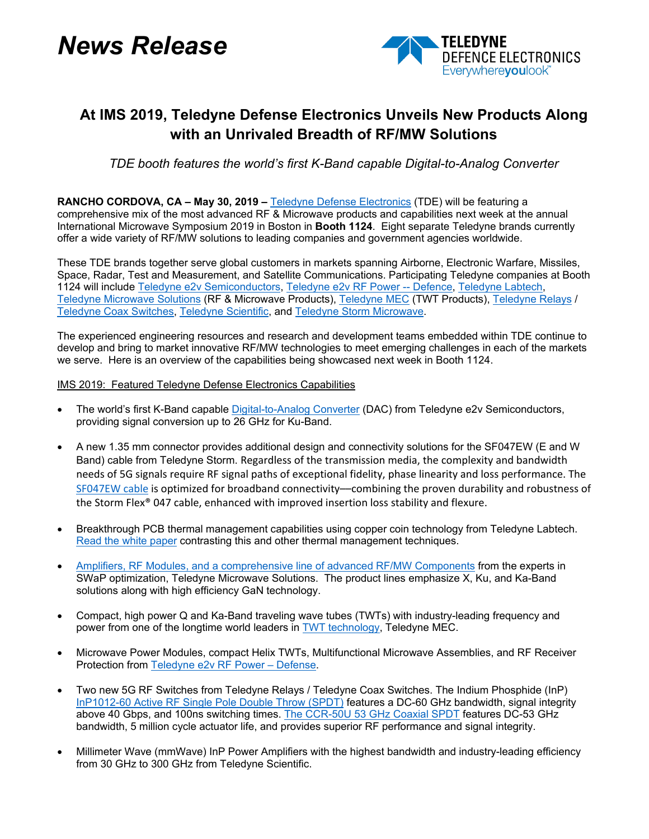# *News Release*



## **At IMS 2019, Teledyne Defense Electronics Unveils New Products Along with an Unrivaled Breadth of RF/MW Solutions**

*TDE booth features the world's first K-Band capable Digital-to-Analog Converter* 

**RANCHO CORDOVA, CA – May 30, 2019 –** [Teledyne Defense Electronics](https://www.teledynedefenseelectronics.com/TDE_Products/Pages/Satcom.aspx) (TDE) will be featuring a comprehensive mix of the most advanced RF & Microwave products and capabilities next week at the annual International Microwave Symposium 2019 in Boston in **Booth 1124**. Eight separate Teledyne brands currently offer a wide variety of RF/MW solutions to leading companies and government agencies worldwide.

These TDE brands together serve global customers in markets spanning Airborne, Electronic Warfare, Missiles, Space, Radar, Test and Measurement, and Satellite Communications. Participating Teledyne companies at Booth 1124 will include [Teledyne e2v Semiconductors,](https://www.teledyne-e2v.com/products/semiconductors/) [Teledyne e2v RF Power --](https://www.teledyne-e2v.com/products/rf-power/) Defence, [Teledyne Labtech,](http://www.teledynemicrowave.com/index.php/teledyne-microwave-our-businesses/teledyne-labtech) [Teledyne Microwave Solutions](http://www.teledynemicrowave.com/teledyne-microwave-satcom-products) (RF & Microwave Products), [Teledyne MEC](http://www.teledynemicrowave.com/teledyne-microwave-twts) (TWT Products), [Teledyne Relays](https://www.teledynerelays.com/) / [Teledyne Coax Switches,](https://www.teledynecoax.com/) [Teledyne Scientific,](http://www.teledyne-si.com/) and [Teledyne Storm Microwave.](https://www.teledynedefenseelectronics.com/storm/Pages/Storm%20Microwave.aspx)

The experienced engineering resources and research and development teams embedded within TDE continue to develop and bring to market innovative RF/MW technologies to meet emerging challenges in each of the markets we serve. Here is an overview of the capabilities being showcased next week in Booth 1124.

#### IMS 2019: Featured Teledyne Defense Electronics Capabilities

- The world's first K-Band capabl[e Digital-to-Analog Converter](https://www.teledyne-e2v.com/shared/content/resources/File/documents/broadband-data-converters/EV12DS480/Preliminary%20DS%2060S%20217580_EV12DS480AZP_rev%20A.pdf) (DAC) from Teledyne e2v Semiconductors, providing signal conversion up to 26 GHz for Ku-Band.
- A new 1.35 mm connector provides additional design and connectivity solutions for the SF047EW (E and W Band) cable from Teledyne Storm. Regardless of the transmission media, the complexity and bandwidth needs of 5G signals require RF signal paths of exceptional fidelity, phase linearity and loss performance. The [SF047EW cable](http://www.teledynestorm.com/resource.asp) is optimized for broadband connectivity––combining the proven durability and robustness of the Storm Flex® 047 cable, enhanced with improved insertion loss stability and flexure.
- Breakthrough PCB thermal management capabilities using copper coin technology from Teledyne Labtech. [Read the white paper](http://tde.azure.tdystaging.com/labtech/Documents/18-08%20Aug%20-%20App%20Note%20-%20Thermal%20Mgt%20in%20PCBs%20v1.0.pdf) contrasting this and other thermal management techniques.
- [Amplifiers, RF Modules, and a comprehensive line of advanced RF/MW Components](https://www.teledynedefenseelectronics.com/wireless/Pages/Microwave%20Solutions.aspx) from the experts in SWaP optimization, Teledyne Microwave Solutions. The product lines emphasize X, Ku, and Ka-Band solutions along with high efficiency GaN technology.
- Compact, high power Q and Ka-Band traveling wave tubes (TWTs) with industry-leading frequency and power from one of the longtime world leaders in [TWT technology,](https://www.teledynedefenseelectronics.com/wireless/Pages/TWT%20Products.aspx) Teledyne MEC.
- Microwave Power Modules, compact Helix TWTs, Multifunctional Microwave Assemblies, and RF Receiver Protection from [Teledyne e2v RF Power –](https://www.teledyne-e2v.com/products/rf-power/) Defense.
- Two new 5G RF Switches from Teledyne Relays / Teledyne Coax Switches. The Indium Phosphide (InP) [InP1012-60 Active RF Single Pole Double Throw \(SPDT\)](http://www.teledynerelays.com/Datasheets/InP1012-60.pdf) features a DC-60 GHz bandwidth, signal integrity above 40 Gbps, and 100ns switching times. [The CCR-50U 53 GHz](http://www.teledynecoax.com/Datasheets/CCR-50U%20LATCHING%202019.pdf) Coaxial SPDT features DC-53 GHz bandwidth, 5 million cycle actuator life, and provides superior RF performance and signal integrity.
- Millimeter Wave (mmWave) InP Power Amplifiers with the highest bandwidth and industry-leading efficiency from 30 GHz to 300 GHz from Teledyne Scientific.